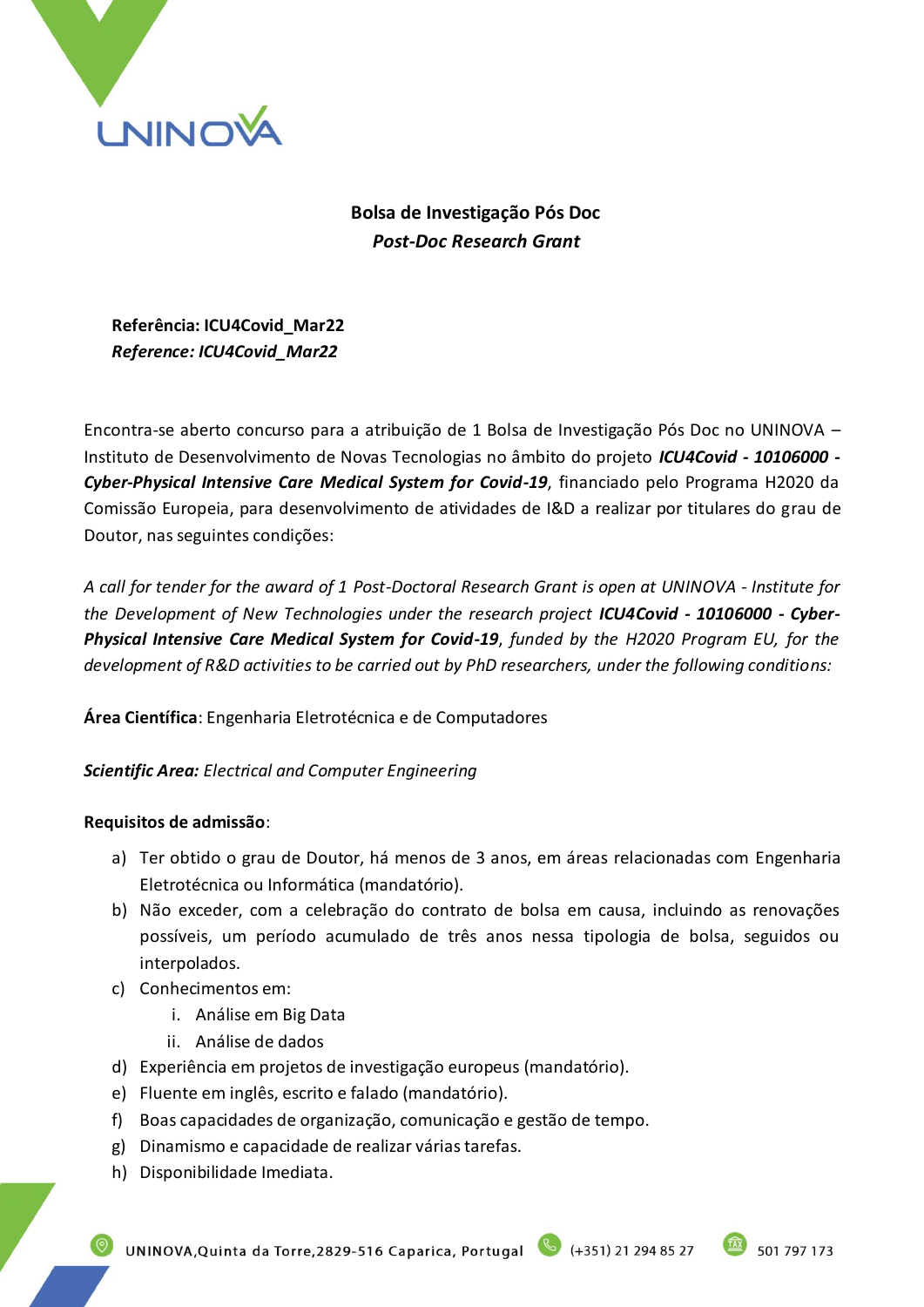

**Bolsa de Investigação Pós Doc** *Post-Doc Research Grant*

**Referência: ICU4Covid\_Mar22** *Reference: ICU4Covid\_Mar22*

Encontra-se aberto concurso para a atribuição de 1 Bolsa de Investigação Pós Doc no UNINOVA – Instituto de Desenvolvimento de Novas Tecnologias no âmbito do projeto *ICU4Covid - 10106000 - Cyber-Physical Intensive Care Medical System for Covid-19*, financiado pelo Programa H2020 da Comissão Europeia, para desenvolvimento de atividades de I&D a realizar por titulares do grau de Doutor, nas seguintes condições:

*A call for tender for the award of 1 Post-Doctoral Research Grant is open at UNINOVA - Institute for the Development of New Technologies under the research project ICU4Covid - 10106000 - Cyber-Physical Intensive Care Medical System for Covid-19*, *funded by the H2020 Program EU, for the development of R&D activities to be carried out by PhD researchers, under the following conditions:*

**Área Científica**: Engenharia Eletrotécnica e de Computadores

*Scientific Area: Electrical and Computer Engineering*

## **Requisitos de admissão**:

- a) Ter obtido o grau de Doutor, há menos de 3 anos, em áreas relacionadas com Engenharia Eletrotécnica ou Informática (mandatório).
- b) Não exceder, com a celebração do contrato de bolsa em causa, incluindo as renovações possíveis, um período acumulado de três anos nessa tipologia de bolsa, seguidos ou interpolados.
- c) Conhecimentos em:
	- i. Análise em Big Data
	- ii. Análise de dados
- d) Experiência em projetos de investigação europeus (mandatório).
- e) Fluente em inglês, escrito e falado (mandatório).
- f) Boas capacidades de organização, comunicação e gestão de tempo.
- g) Dinamismo e capacidade de realizar várias tarefas.
- h) Disponibilidade Imediata.

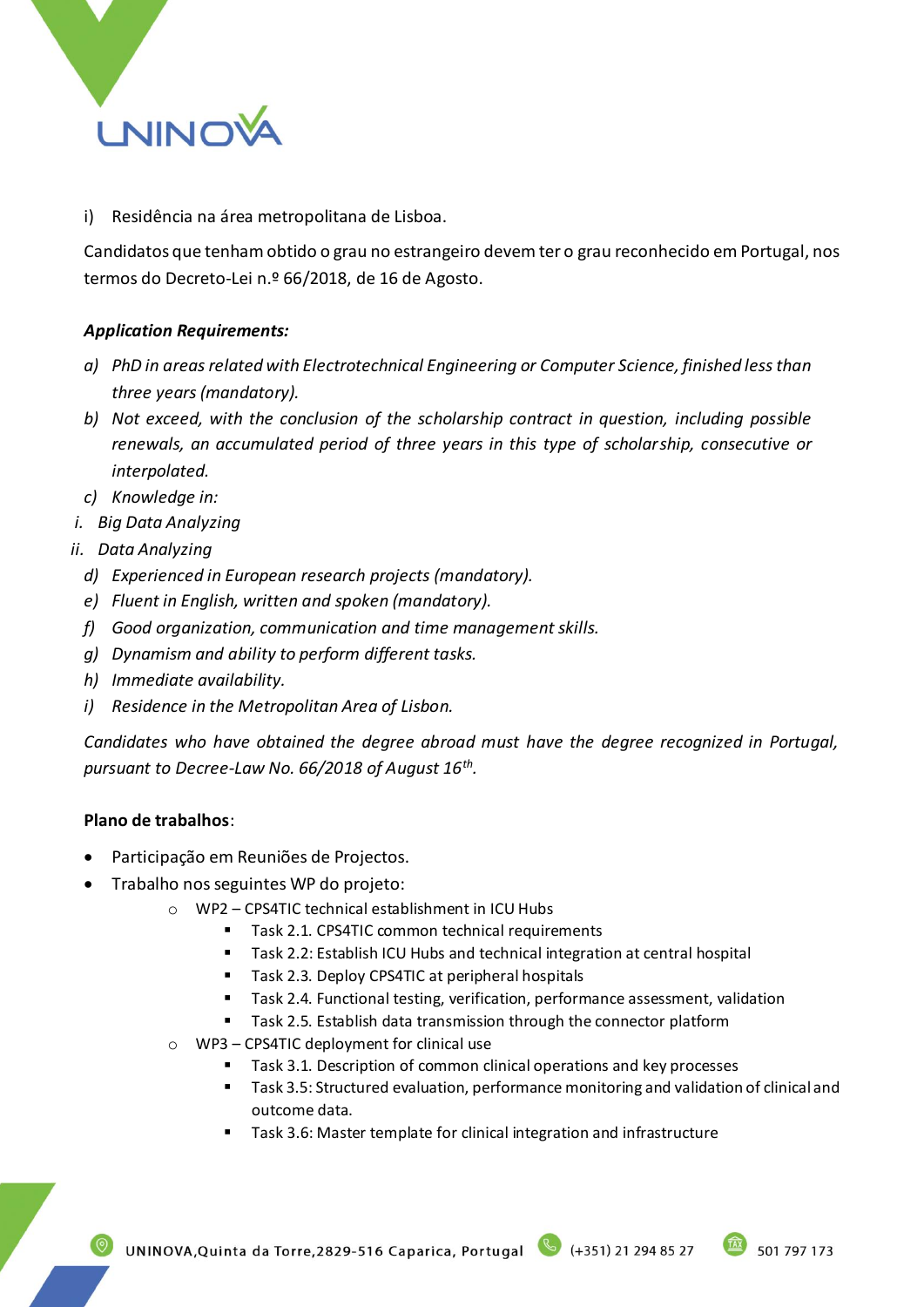

i) Residência na área metropolitana de Lisboa.

Candidatos que tenham obtido o grau no estrangeiro devem ter o grau reconhecido em Portugal, nos termos do Decreto-Lei n.º 66/2018, de 16 de Agosto.

## *Application Requirements:*

- *a) PhD in areas related with Electrotechnical Engineering or Computer Science, finished less than three years (mandatory).*
- *b) Not exceed, with the conclusion of the scholarship contract in question, including possible renewals, an accumulated period of three years in this type of scholarship, consecutive or interpolated.*
- *c) Knowledge in:*
- *i. Big Data Analyzing*
- *ii. Data Analyzing*
	- *d) Experienced in European research projects (mandatory).*
	- *e) Fluent in English, written and spoken (mandatory).*
	- *f) Good organization, communication and time management skills.*
	- *g) Dynamism and ability to perform different tasks.*
	- *h) Immediate availability.*
	- *i) Residence in the Metropolitan Area of Lisbon.*

*Candidates who have obtained the degree abroad must have the degree recognized in Portugal, pursuant to Decree-Law No. 66/2018 of August 16th .*

#### **Plano de trabalhos**:

- Participação em Reuniões de Projectos.
- Trabalho nos seguintes WP do projeto:
	- o WP2 CPS4TIC technical establishment in ICU Hubs
		- Task 2.1. CPS4TIC common technical requirements
		- Task 2.2: Establish ICU Hubs and technical integration at central hospital
		- Task 2.3. Deploy CPS4TIC at peripheral hospitals
		- Task 2.4. Functional testing, verification, performance assessment, validation
		- Task 2.5. Establish data transmission through the connector platform
	- o WP3 CPS4TIC deployment for clinical use
		- Task 3.1. Description of common clinical operations and key processes
		- Task 3.5: Structured evaluation, performance monitoring and validation of clinical and outcome data.
		- Task 3.6: Master template for clinical integration and infrastructure

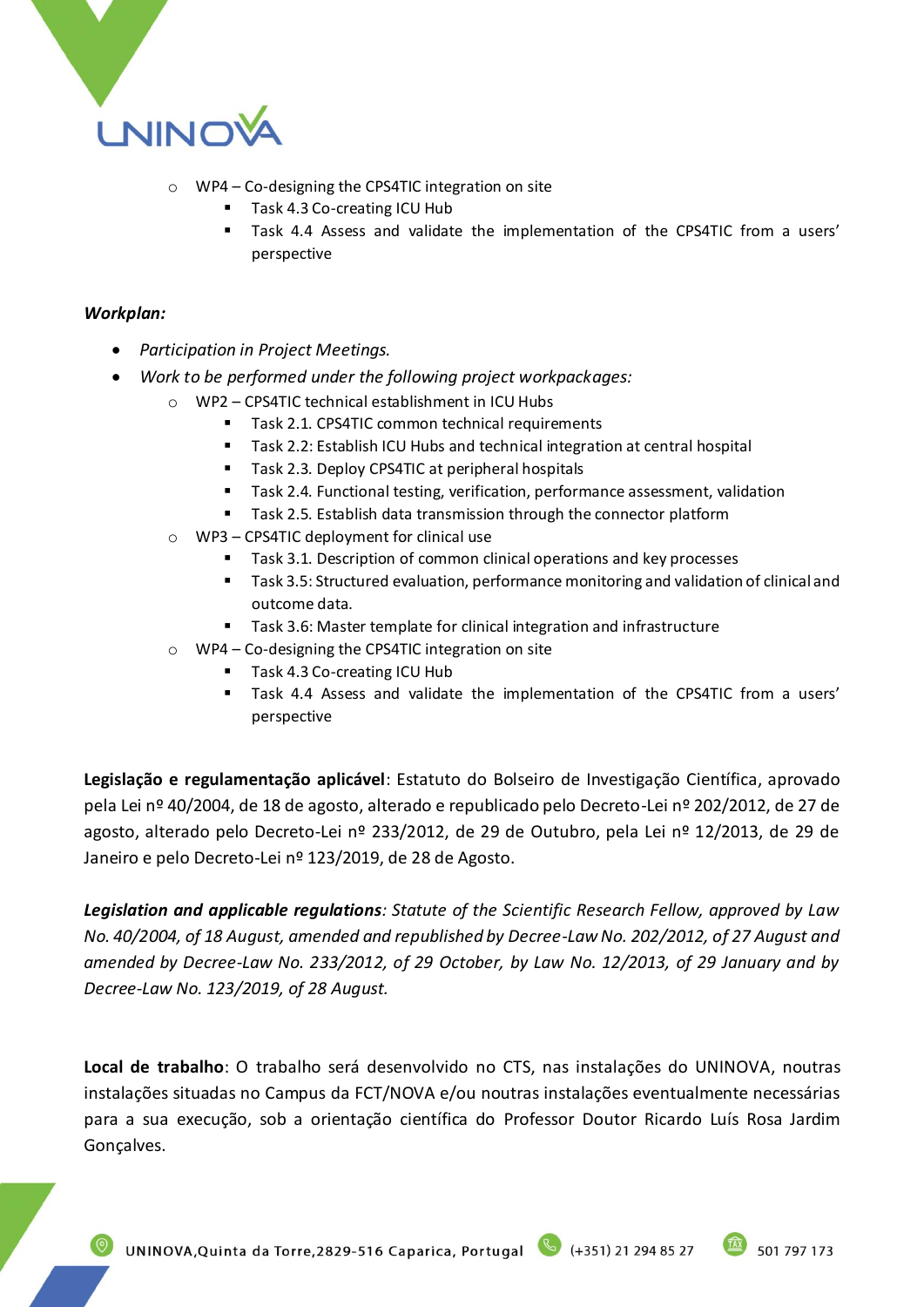

- o WP4 Co-designing the CPS4TIC integration on site
	- Task 4.3 Co-creating ICU Hub
	- Task 4.4 Assess and validate the implementation of the CPS4TIC from a users' perspective

#### *Workplan:*

- *Participation in Project Meetings.*
- *Work to be performed under the following project workpackages:*
	- o WP2 CPS4TIC technical establishment in ICU Hubs
		- Task 2.1. CPS4TIC common technical requirements
		- Task 2.2: Establish ICU Hubs and technical integration at central hospital
		- Task 2.3. Deploy CPS4TIC at peripheral hospitals
		- Task 2.4. Functional testing, verification, performance assessment, validation
		- Task 2.5. Establish data transmission through the connector platform
	- o WP3 CPS4TIC deployment for clinical use
		- Task 3.1. Description of common clinical operations and key processes
		- Task 3.5: Structured evaluation, performance monitoring and validation of clinical and outcome data.
		- Task 3.6: Master template for clinical integration and infrastructure
	- o WP4 Co-designing the CPS4TIC integration on site
		- Task 4.3 Co-creating ICU Hub
			- Task 4.4 Assess and validate the implementation of the CPS4TIC from a users' perspective

**Legislação e regulamentação aplicável**: Estatuto do Bolseiro de Investigação Científica, aprovado pela Lei nº 40/2004, de 18 de agosto, alterado e republicado pelo Decreto-Lei nº 202/2012, de 27 de agosto, alterado pelo Decreto-Lei nº 233/2012, de 29 de Outubro, pela Lei nº 12/2013, de 29 de Janeiro e pelo Decreto-Lei nº 123/2019, de 28 de Agosto.

*Legislation and applicable regulations: Statute of the Scientific Research Fellow, approved by Law No. 40/2004, of 18 August, amended and republished by Decree-Law No. 202/2012, of 27 August and amended by Decree-Law No. 233/2012, of 29 October, by Law No. 12/2013, of 29 January and by Decree-Law No. 123/2019, of 28 August.*

**Local de trabalho**: O trabalho será desenvolvido no CTS, nas instalações do UNINOVA, noutras instalações situadas no Campus da FCT/NOVA e/ou noutras instalações eventualmente necessárias para a sua execução, sob a orientação científica do Professor Doutor Ricardo Luís Rosa Jardim Gonçalves.

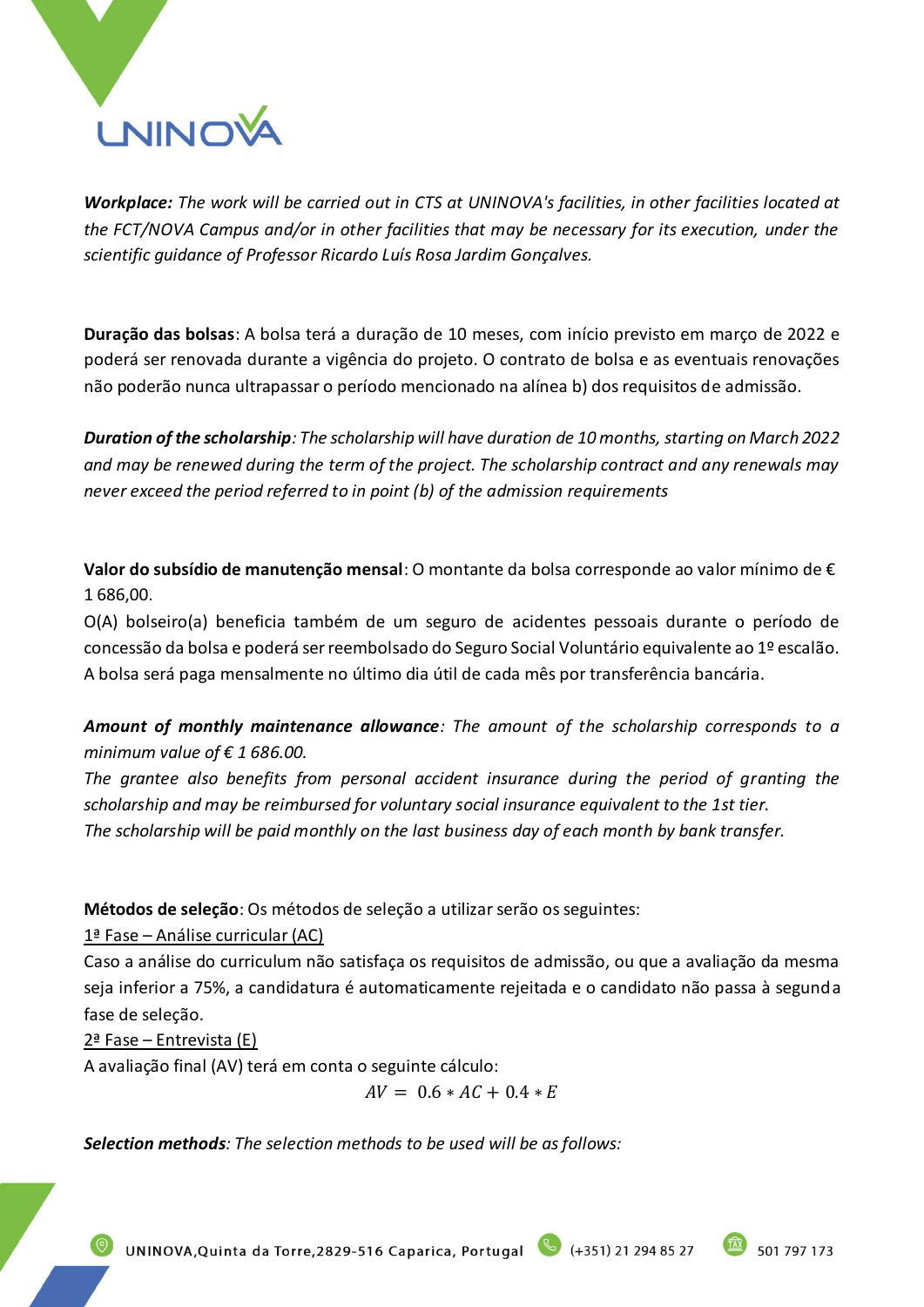

*Workplace: The work will be carried out in CTS at UNINOVA's facilities, in other facilities located at the FCT/NOVA Campus and/or in other facilities that may be necessary for its execution, under the scientific guidance of Professor Ricardo Luís Rosa Jardim Gonçalves.*

**Duração das bolsas**: A bolsa terá a duração de 10 meses, com início previsto em março de 2022 e poderá ser renovada durante a vigência do projeto. O contrato de bolsa e as eventuais renovações não poderão nunca ultrapassar o período mencionado na alínea b) dos requisitos de admissão.

*Duration of the scholarship: The scholarship will have duration de 10 months, starting on March 2022 and may be renewed during the term of the project. The scholarship contract and any renewals may never exceed the period referred to in point (b) of the admission requirements*

**Valor do subsídio de manutenção mensal**: O montante da bolsa corresponde ao valor mínimo de € 1 686,00.

O(A) bolseiro(a) beneficia também de um seguro de acidentes pessoais durante o período de concessão da bolsa e poderá ser reembolsado do Seguro Social Voluntário equivalente ao 1º escalão. A bolsa será paga mensalmente no último dia útil de cada mês por transferência bancária.

*Amount of monthly maintenance allowance: The amount of the scholarship corresponds to a minimum value of € 1 686.00.*

*The grantee also benefits from personal accident insurance during the period of granting the scholarship and may be reimbursed for voluntary social insurance equivalent to the 1st tier. The scholarship will be paid monthly on the last business day of each month by bank transfer.*

**Métodos de seleção**: Os métodos de seleção a utilizar serão os seguintes:

1ª Fase – Análise curricular (AC)

Caso a análise do curriculum não satisfaça os requisitos de admissão, ou que a avaliação da mesma seja inferior a 75%, a candidatura é automaticamente rejeitada e o candidato não passa à segunda fase de seleção.

2ª Fase – Entrevista (E)

A avaliação final (AV) terá em conta o seguinte cálculo:

 $AV = 0.6 * AC + 0.4 * E$ 

*Selection methods: The selection methods to be used will be as follows:* 

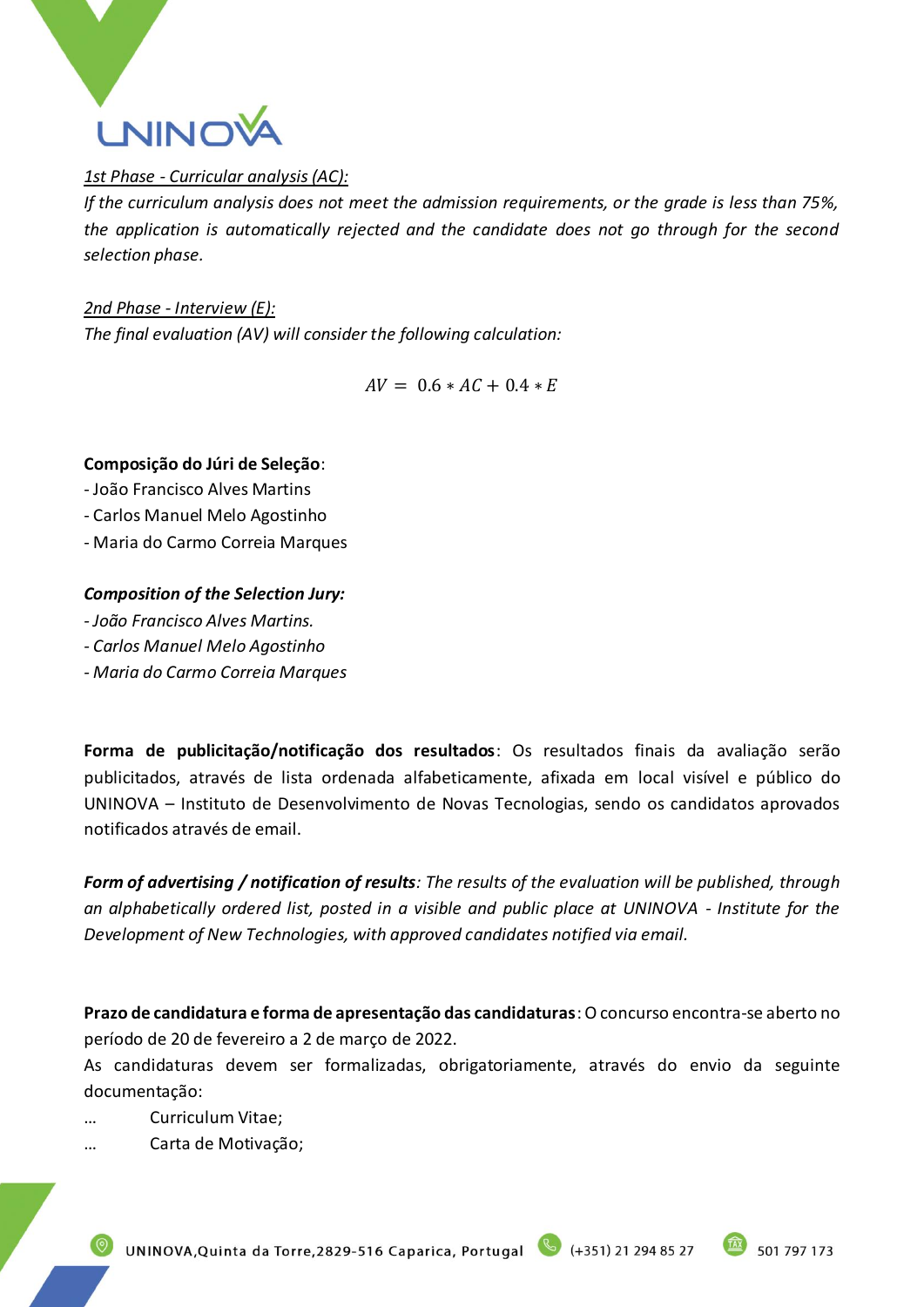

## *1st Phase - Curricular analysis (AC):*

*If the curriculum analysis does not meet the admission requirements, or the grade is less than 75%, the application is automatically rejected and the candidate does not go through for the second selection phase.* 

*2nd Phase - Interview (E): The final evaluation (AV) will consider the following calculation:*

 $AV = 0.6 * AC + 0.4 * E$ 

## **Composição do Júri de Seleção**:

- João Francisco Alves Martins
- Carlos Manuel Melo Agostinho
- Maria do Carmo Correia Marques

## *Composition of the Selection Jury:*

- *- João Francisco Alves Martins.*
- *- Carlos Manuel Melo Agostinho*
- *- Maria do Carmo Correia Marques*

**Forma de publicitação/notificação dos resultados**: Os resultados finais da avaliação serão publicitados, através de lista ordenada alfabeticamente, afixada em local visível e público do UNINOVA – Instituto de Desenvolvimento de Novas Tecnologias, sendo os candidatos aprovados notificados através de email.

*Form of advertising / notification of results: The results of the evaluation will be published, through an alphabetically ordered list, posted in a visible and public place at UNINOVA - Institute for the Development of New Technologies, with approved candidates notified via email.*

**Prazo de candidatura e forma de apresentação das candidaturas**: O concurso encontra-se aberto no período de 20 de fevereiro a 2 de março de 2022.

As candidaturas devem ser formalizadas, obrigatoriamente, através do envio da seguinte documentação:

… Curriculum Vitae;

… Carta de Motivação;

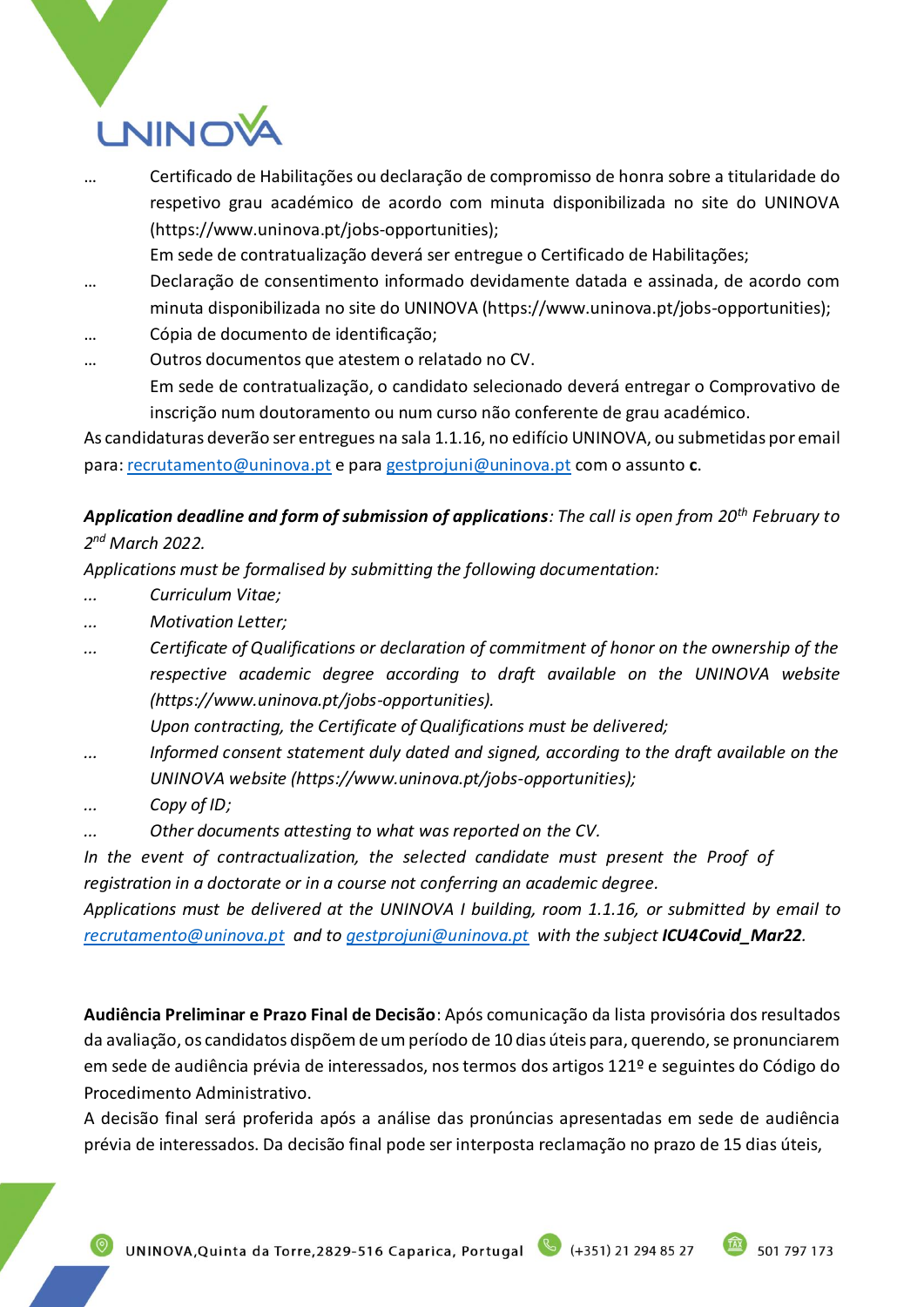# **LNINOV**

… Certificado de Habilitações ou declaração de compromisso de honra sobre a titularidade do respetivo grau académico de acordo com minuta disponibilizada no site do UNINOVA (https://www.uninova.pt/jobs-opportunities);

Em sede de contratualização deverá ser entregue o Certificado de Habilitações;

- … Declaração de consentimento informado devidamente datada e assinada, de acordo com minuta disponibilizada no site do UNINOVA (https://www.uninova.pt/jobs-opportunities);
- … Cópia de documento de identificação;
- … Outros documentos que atestem o relatado no CV. Em sede de contratualização, o candidato selecionado deverá entregar o Comprovativo de inscrição num doutoramento ou num curso não conferente de grau académico.

As candidaturas deverão ser entregues na sala 1.1.16, no edifício UNINOVA, ou submetidas por email para: [recrutamento@uninova.pt](mailto:recrutamento@uninova.pt) e para [gestprojuni@uninova.pt](mailto:gestprojuni@uninova.pt) com o assunto **c**.

## *Application deadline and form of submission of applications: The call is open from 20th February to 2 nd March 2022.*

*Applications must be formalised by submitting the following documentation:*

- *... Curriculum Vitae;*
- *... Motivation Letter;*
- *... Certificate of Qualifications or declaration of commitment of honor on the ownership of the respective academic degree according to draft available on the UNINOVA website (https://www.uninova.pt/jobs-opportunities).*
	- *Upon contracting, the Certificate of Qualifications must be delivered;*
- *... Informed consent statement duly dated and signed, according to the draft available on the UNINOVA website (https://www.uninova.pt/jobs-opportunities);*
- *... Copy of ID;*
- *... Other documents attesting to what was reported on the CV.*

*In the event of contractualization, the selected candidate must present the Proof of registration in a doctorate or in a course not conferring an academic degree.*

*Applications must be delivered at the UNINOVA I building, room 1.1.16, or submitted by email to [recrutamento@uninova.pt](mailto:recrutamento@uninova.pt) and to [gestprojuni@uninova.pt](mailto:gestprojuni@uninova.pt) with the subject ICU4Covid\_Mar22.*

**Audiência Preliminar e Prazo Final de Decisão**: Após comunicação da lista provisória dos resultados da avaliação, os candidatos dispõem de um período de 10 dias úteis para, querendo, se pronunciarem em sede de audiência prévia de interessados, nos termos dos artigos 121º e seguintes do Código do Procedimento Administrativo.

A decisão final será proferida após a análise das pronúncias apresentadas em sede de audiência prévia de interessados. Da decisão final pode ser interposta reclamação no prazo de 15 dias úteis,